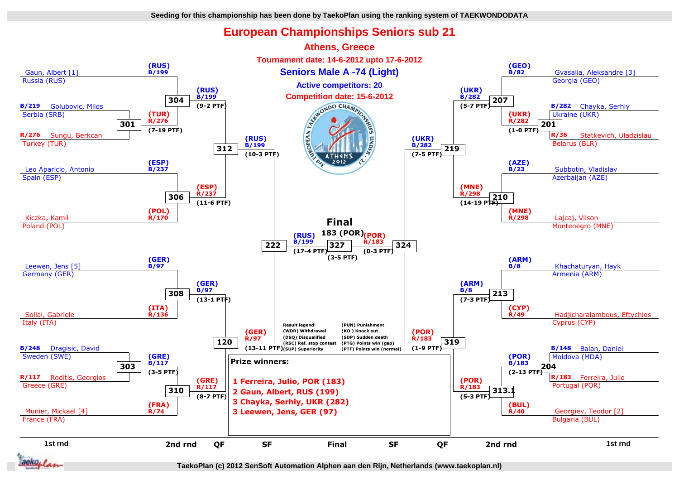## **European Championships Seniors sub 21**

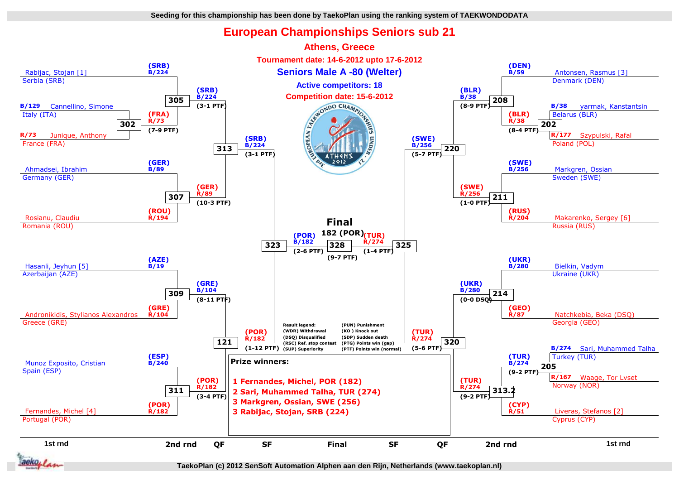## **European Championships Seniors sub 21**



**TaekoPlan (c) 2012 SenSoft Automation Alphen aan den Rijn, Netherlands (www.taekoplan.nl)**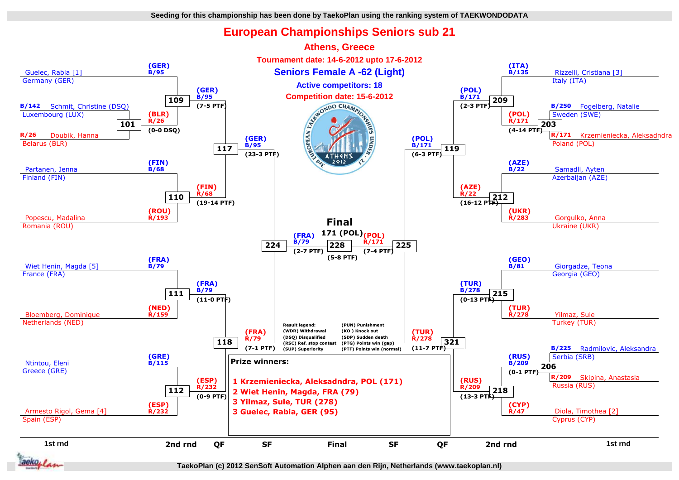## **European Championships Seniors sub 21**



**TaekoPlan (c) 2012 SenSoft Automation Alphen aan den Rijn, Netherlands (www.taekoplan.nl)**